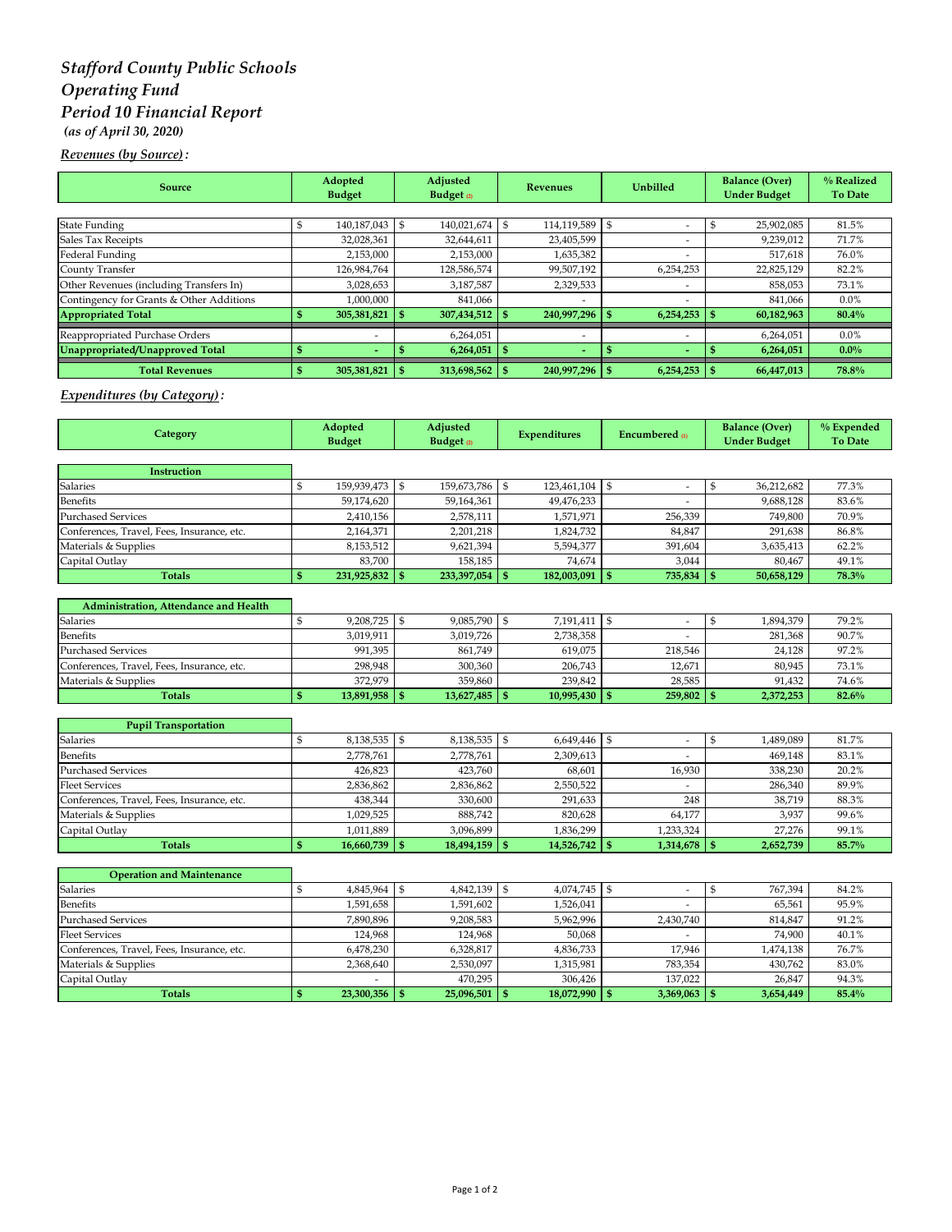# *Stafford County Public Schools Operating Fund Period 10 Financial Report (as of April 30, 2020)*

## *Revenues (by Source) :*

| <b>Source</b>                            | Adopted<br><b>Budget</b> |                          | Adjusted<br>Budget $\varrho$ |                  | <b>Revenues</b> |                          | <b>Unbilled</b> |                          | <b>Balance (Over)</b><br><b>Under Budget</b> |            | % Realized<br><b>To Date</b> |
|------------------------------------------|--------------------------|--------------------------|------------------------------|------------------|-----------------|--------------------------|-----------------|--------------------------|----------------------------------------------|------------|------------------------------|
|                                          |                          |                          |                              |                  |                 |                          |                 |                          |                                              |            |                              |
| <b>State Funding</b>                     |                          | 140,187,043              | \$                           | 140,021,674      |                 | 114,119,589              |                 | $\overline{a}$           |                                              | 25,902,085 | 81.5%                        |
| Sales Tax Receipts                       |                          | 32,028,361               |                              | 32,644,611       |                 | 23,405,599               |                 | $\overline{\phantom{a}}$ |                                              | 9,239,012  | 71.7%                        |
| Federal Funding                          |                          | 2,153,000                |                              | 2,153,000        |                 | 1,635,382                |                 |                          |                                              | 517.618    | 76.0%                        |
| County Transfer                          |                          | 126,984,764              |                              | 128,586,574      |                 | 99,507,192               |                 | 6,254,253                |                                              | 22,825,129 | 82.2%                        |
| Other Revenues (including Transfers In)  |                          | 3,028,653                |                              | 3,187,587        |                 | 2,329,533                |                 |                          |                                              | 858,053    | 73.1%                        |
| Contingency for Grants & Other Additions |                          | 1,000,000                |                              | 841,066          |                 | $\overline{\phantom{a}}$ |                 | $\overline{\phantom{a}}$ |                                              | 841.066    | $0.0\%$                      |
| <b>Appropriated Total</b>                |                          | 305,381,821              |                              | 307,434,512      |                 | 240,997,296              |                 | 6,254,253                |                                              | 60,182,963 | 80.4%                        |
| Reappropriated Purchase Orders           |                          | $\overline{\phantom{a}}$ |                              | 6,264,051        |                 | $\overline{\phantom{a}}$ |                 | $\overline{\phantom{a}}$ |                                              | 6,264,051  | $0.0\%$                      |
| Unappropriated/Unapproved Total          |                          | $\overline{\phantom{0}}$ |                              | $6,264,051$ \$   |                 | $\blacksquare$           |                 | $\overline{\phantom{0}}$ |                                              | 6,264,051  | $0.0\%$                      |
| <b>Total Revenues</b>                    |                          | 305,381,821              |                              | $313,698,562$ \$ |                 | 240,997,296 \$           |                 | $6,254,253$ \$           |                                              | 66,447,013 | 78.8%                        |

### *Expenditures (by Category) :*

| Category                                   |              | Adopted<br><b>Budget</b> |                    | Adjusted<br>Budget <sub>(2)</sub> |              | <b>Expenditures</b> |                | <b>Encumbered</b> m   |             | <b>Balance (Over)</b><br><b>Under Budget</b> | % Expended<br><b>To Date</b> |
|--------------------------------------------|--------------|--------------------------|--------------------|-----------------------------------|--------------|---------------------|----------------|-----------------------|-------------|----------------------------------------------|------------------------------|
|                                            |              |                          |                    |                                   |              |                     |                |                       |             |                                              |                              |
| Instruction                                |              |                          |                    |                                   |              |                     |                |                       |             |                                              |                              |
| Salaries                                   | \$           | 159,939,473              | $\mathbf{\hat{S}}$ | 159,673,786                       | \$           | 123,461,104         | $\mathbb{S}$   | $\overline{a}$        | $\mathsf S$ | 36,212,682                                   | 77.3%                        |
| <b>Benefits</b>                            |              | 59,174,620               |                    | 59,164,361                        |              | 49,476,233          |                |                       |             | 9,688,128                                    | 83.6%                        |
| <b>Purchased Services</b>                  |              | 2,410,156                |                    | 2,578,111                         |              | 1,571,971           |                | 256,339               |             | 749,800                                      | 70.9%                        |
| Conferences, Travel, Fees, Insurance, etc. |              | 2,164,371                |                    | 2,201,218                         |              | 1.824.732           |                | 84.847                |             | 291.638                                      | 86.8%                        |
| Materials & Supplies                       |              | 8,153,512                |                    | 9,621,394                         |              | 5,594,377           |                | 391,604               |             | 3,635,413                                    | 62.2%                        |
| Capital Outlay                             |              | 83,700                   |                    | 158,185                           |              | 74,674              |                | 3.044                 |             | 80,467                                       | 49.1%                        |
| <b>Totals</b>                              | $\mathbf{s}$ | 231,925,832              | - \$               | 233,397,054                       | $\mathbf{s}$ | 182,003,091         | $\mathbf{s}$   | $735,834$ \$          |             | 50,658,129                                   | 78.3%                        |
|                                            |              |                          |                    |                                   |              |                     |                |                       |             |                                              |                              |
| Administration, Attendance and Health      |              |                          |                    |                                   |              |                     |                |                       |             |                                              |                              |
| Salaries                                   | \$           | 9,208,725                | \$                 | 9,085,790                         | \$           | 7,191,411           | \$             | $\sim$                | \$          | 1,894,379                                    | 79.2%                        |
| <b>Benefits</b>                            |              | 3,019,911                |                    | 3,019,726                         |              | 2,738,358           |                |                       |             | 281,368                                      | 90.7%                        |
| <b>Purchased Services</b>                  |              | 991,395                  |                    | 861,749                           |              | 619,075             |                | 218,546               |             | 24,128                                       | 97.2%                        |
| Conferences, Travel, Fees, Insurance, etc. |              | 298,948                  |                    | 300,360                           |              | 206,743             |                | 12,671                |             | 80,945                                       | 73.1%                        |
| Materials & Supplies                       |              | 372,979                  |                    | 359,860                           |              | 239.842             |                | 28,585                |             | 91,432                                       | 74.6%                        |
| <b>Totals</b>                              | $\mathbf{s}$ | 13,891,958               | -95                | 13,627,485                        | S            | 10,995,430          | $\mathbf{s}$   | $259,802$ \$          |             | 2,372,253                                    | 82.6%                        |
|                                            |              |                          |                    |                                   |              |                     |                |                       |             |                                              |                              |
| <b>Pupil Transportation</b>                |              |                          |                    |                                   |              |                     |                |                       |             |                                              |                              |
| Salaries                                   | \$           | 8,138,535                | \$                 | 8,138,535                         | \$           | 6,649,446           | $\mathfrak{S}$ | $\sim$                | \$          | 1,489,089                                    | 81.7%                        |
| <b>Benefits</b>                            |              | 2,778,761                |                    | 2,778,761                         |              | 2,309,613           |                |                       |             | 469,148                                      | 83.1%                        |
| <b>Purchased Services</b>                  |              | 426,823                  |                    | 423,760                           |              | 68,601              |                | 16,930                |             | 338,230                                      | 20.2%                        |
| <b>Fleet Services</b>                      |              | 2,836,862                |                    | 2,836,862                         |              | 2,550,522           |                |                       |             | 286,340                                      | 89.9%                        |
| Conferences, Travel, Fees, Insurance, etc. |              | 438,344                  |                    | 330,600                           |              | 291.633             |                | 248                   |             | 38,719                                       | 88.3%                        |
| Materials & Supplies                       |              | 1,029,525                |                    | 888,742                           |              | 820,628             |                | 64,177                |             | 3,937                                        | 99.6%                        |
| Capital Outlay                             |              | 1,011,889                |                    | 3,096,899                         |              | 1,836,299           |                | 1,233,324             |             | 27,276                                       | 99.1%                        |
| <b>Totals</b>                              | $\mathbf{s}$ | 16,660,739               | -95                | 18,494,159                        | S            | 14,526,742          | \$             | 1,314,678             | -95         | 2,652,739                                    | 85.7%                        |
|                                            |              |                          |                    |                                   |              |                     |                |                       |             |                                              |                              |
| <b>Operation and Maintenance</b>           |              |                          |                    |                                   |              |                     |                |                       |             |                                              |                              |
| Salaries                                   | \$           | 4,845,964                | \$                 | 4,842,139                         | \$           | 4,074,745           | $\mathfrak{S}$ | $\tilde{\phantom{a}}$ | \$          | 767,394                                      | 84.2%                        |
| <b>Benefits</b>                            |              | 1,591,658                |                    | 1,591,602                         |              | 1,526,041           |                |                       |             | 65,561                                       | 95.9%                        |
| <b>Purchased Services</b>                  |              | 7,890,896                |                    | 9,208,583                         |              | 5,962,996           |                | 2,430,740             |             | 814,847                                      | 91.2%                        |
| <b>Fleet Services</b>                      |              | 124,968                  |                    | 124,968                           |              | 50,068              |                |                       |             | 74,900                                       | 40.1%                        |
| Conferences, Travel, Fees, Insurance, etc. |              | 6,478,230                |                    | 6,328,817                         |              | 4,836,733           |                | 17,946                |             | 1,474,138                                    | 76.7%                        |
| Materials & Supplies                       |              | 2,368,640                |                    | 2,530,097                         |              | 1,315,981           |                | 783,354               |             | 430,762                                      | 83.0%                        |

Materials & Supplies 2,368,640 2,530,097 1,315,981 783,354 430,762 83.0%<br>Capital Outlay 26,847 94.3% Capital Outlay - 470,295 306,426 137,022 26,847 94.3%

**Totals \$ 23,300,356 \$ 25,096,501 \$ 18,072,990 \$ 3,369,063 \$ 3,654,449 85.4%**